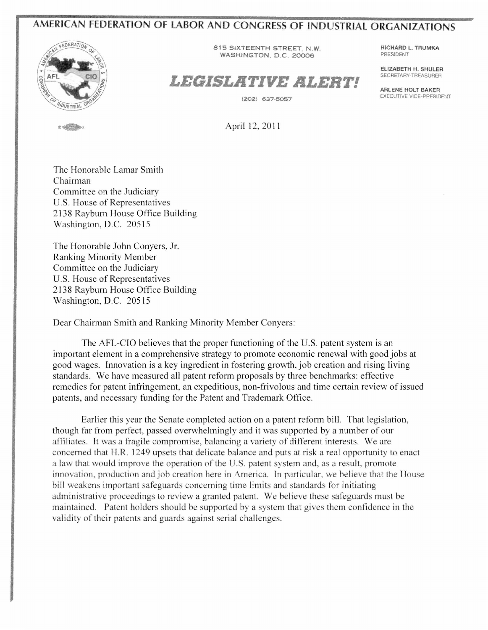## **AMERICAN FEDERATION OF LABOR AND CONGRESS OF INDUSTRIAL ORGANIZATIONS**





815 SIXTEENTH STREET, N.W. WASHINGTON, D.C. 20006

## *LEGISLATIVE ALERT!*

RICHARD L. TRUMKA PRESIDENT

ELIZABETH H. SHULER SECRETARY-TREASURER

ARLENE HOLT BAKER EXECUTIVE VICE-PRESIDENT

(202) 637-5057

April 12, 2011

The Honorable Lamar Smith Chairman Committee on the Judiciary U.S. House of Representatives 2138 Rayburn House Office Building Washington, D.C. 20515

The Honorable John Conyers, Jr. Ranking Minority Member Committee on the Judiciary U,S, House of Representatives 2138 Rayburn House Office Building Washington, D.C. 20515

Dear Chairman Smith and Ranking Minority Member Conyers:

The AFL-CIO believes that the proper functioning of the U.S. patent system is an important element in a comprehensive strategy to promote economic renewal with good jobs at good wages. Innovation is a key ingredient in fostering growth, job creation and rising living standards. We have measured all patent reform proposals by three benchmarks: effective remedies for patent infringement, an expeditious, non-frivolous and time certain review of issued patents, and necessary funding for the Patent and Trademark Office.

Earlier this year the Senate completed action on a patent reform bill. That legislation, though far from perfect, passed overwhelmingly and it was supported by a number of our aftiliates. It was a fragile compromise, balancing a variety of different interests. We are concerned that H.R. 1249 upsets that delicate balance and puts at risk a real opportunity to enact a law that would improve the operation of the U.S. patent system and, as a result, promote innovation, production and job creation here in America. In particular, we believe that the House bill weakens important safeguards concerning time limits and standards for initiating administrative proceedings to review a granted patent. We believe these safeguards must be maintained. Patent holders should be supported by a system that gives them confidence in the validity of their patents and guards against serial challenges.